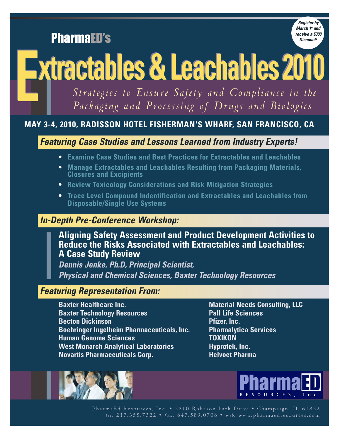PharmaED's



# **Extractables & Leachables <sup>2010</sup> Extractables & Leachables <sup>2010</sup>**

*Strategies to Ensure Safety and Compliance in the Packaging and Processing of Drugs and Biologics*

# **MAY 3-4, 2010, RADISSON HOTEL FISHERMAN'S WHARF, SAN FRANCISCO, CA**

*Featuring Case Studies and Lessons Learned from Industry Experts!*

- **• Examine Case Studies and Best Practices for Extractables and Leachables**
- **• Manage Extractables and Leachables Resulting from Packaging Materials, Closures and Excipients**
- **• Review Toxicology Considerations and Risk Mitigation Strategies**
- **• Trace Level Compound Indentification and Extractables and Leachables from Disposable/Single Use Systems**

# *In-Depth Pre-Conference Workshop:*

**Aligning Safety Assessment and Product Development Activities to Reduce the Risks Associated with Extractables and Leachables: A Case Study Review**

*Dennis Jenke, Ph.D, Principal Scientist, Physical and Chemical Sciences, Baxter Technology Resources*

# *Featuring Representation From:*

**Baxter Healthcare Inc. Material Needs Consulting, LLC Baxter Technology Resources Pall Life Sciences Becton Dickinson Pfizer, Inc. Boehringer Ingelheim Pharmaceuticals, Inc. Pharmalytica Services Human Genome Sciences TOXIKON West Monarch Analytical Laboratories The Hyprotek, Inc. Novartis Pharmaceuticals Corp. Helvoet Pharma** 





PharmaEd Resources, Inc. • 2810 Robeson Park Drive • Champaign, IL 61822 *tel.* 2 1 7 . 3 5 5 . 7 3 2 2 • *fa x .* 8 4 7 . 5 8 9 . 0 7 0 8 • *w e b.* w w w. p h a r m a e d r e s o u r c e s . c o m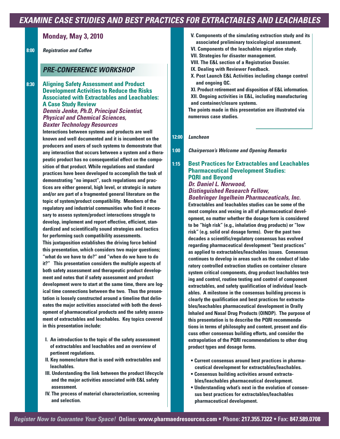# *EXAMINE CASE STUDIES AND BEST PRACTICES FOR EXTRACTABLES AND LEACHABLES*

## **Monday, May 3, 2010**

**8:00** *Registration and Coffee*

## *PRE-CONFERENCE WORKSHOP*

**8:30 Aligning Safety Assessment and Product Development Activities to Reduce the Risks Associated with Extractables and Leachables: A Case Study Review** *Dennis Jenke, Ph.D, Principal Scientist, Physical and Chemical Sciences, Baxter Technology Resources*

> **Interactions between systems and products are well known and well documented and it is incumbent on the producers and users of such systems to demonstrate that any interaction that occurs between a system and a therapeutic product has no consequential effect on the composition of that product. While regulations and standard practices have been developed to accomplish the task of demonstrating "no impact", such regulations and practices are either general, high level, or strategic in nature and/or are part of a fragmented general literature on the topic of system/product compatibility. Members of the regulatory and industrial communities who find it necessary to assess system/product interactions struggle to develop, implement and report effective, efficient, standardized and scientifically sound strategies and tactics for performing such compatibility assessments. This juxtaposition establishes the driving force behind this presentation, which considers two major questions; "what do we have to do?" and "when do we have to do it?" This presentation considers the multiple aspects of both safety assessment and therapeutic product development and notes that if safety assessment and product development were to start at the same time, there are logical time connections between the two. Thus the presentation is loosely constructed around a timeline that delineates the major activities associated with both the development of pharmaceutical products and the safety assessment of extractables and leachables. Key topics covered in this presentation include:**

- **I. An introduction to the topic of the safety assessment of extractables and leachables and an overview of pertinent regulations.**
- **II. Key nomenclature that is used with extractables and leachables.**
- **III. Understanding the link between the product lifecycle and the major activities associated with E&L safety assessment.**
- **IV. The process of material characterization, screening and selection.**
- **V. Components of the simulating extraction study and its associated preliminary toxicological assessment.**
- **VI. Components of the leachables migration study.**
- **VII. Strategies for disaster management.**
- **VIII. The E&L section of a Registration Dossier.**
- **IX. Dealing with Reviewer Feedback.**
- **X. Post Launch E&L Activities including change control and ongoing QC.**

**XI. Product retirement and disposition of E&L information. XII. Ongoing activities in E&L, including manufacturing and container/closure systems.**

**The points made in this presentation are illustrated via numerous case studies.**

**12:00** *Luncheon*

**1:00** *Chairperson's Welcome and Opening Remarks*

## **1:15 Best Practices for Extractables and Leachables Pharmaceutical Development Studies: PQRI and Beyond**

#### *Dr. Daniel L. Norwood, Distinguished Research Fellow, Boehringer Ingelheim Pharmaceuticals, Inc.*

**Extractables and leachables studies can be some of the most complex and vexing in all of pharmaceutical development, no matter whether the dosage form is considered to be "high risk" (e.g., inhalation drug products) or "low risk" (e.g. solid oral dosage forms). Over the past two decades a scientific/regulatory consensus has evolved regarding pharmaceutical development "best practices" as applied to extractables/leachables issues. Consensus continues to develop in areas such as the conduct of laboratory controlled extraction studies on container closure system critical components, drug product leachables testing and control, routine testing and control of component extractables, and safety qualification of individual leachables. A milestone in the consensus building process is clearly the qualification and best practices for extractables/leachables pharmaceutical development in Orally Inhaled and Nasal Drug Products (OINDP). The purpose of this presentation is to describe the PQRI recommendations in terms of philosophy and content, present and discuss other consensus building efforts, and consider the extrapolation of the PQRI recommendations to other drug product types and dosage forms.**

- **Current consensus around best practices in pharmaceutical development for extractables/leachables.**
- **Consensus building activities around extractables/leachables pharmaceutical development.**
- **Understanding what's next in the evolution of consensus best practices for extractables/leachables pharmaceutical development.**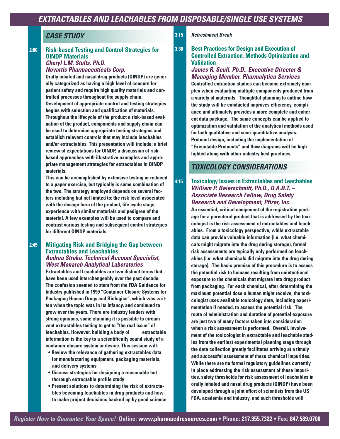## *CASE STUDY*

## **2:00 Risk-based Testing and Control Strategies for OINDP Materials**

#### *Cheryl L.M. Stults, Ph.D. Novartis Pharmaceuticals Corp.*

**Orally inhaled and nasal drug products (OINDP) are generally categorized as having a high level of concern for patient safety and require high quality materials and controlled processes throughout the supply chain. Development of appropriate control and testing strategies begins with selection and qualification of materials. Throughout the lifecycle of the product a risk-based evaluation of the product, components and supply chain can be used to determine appropriate testing strategies and establish relevant controls that may include leachables and/or extractables. This presentation will include: a brief review of expectations for OINDP, a discussion of riskbased approaches with illustrative examples and appropriate management strategies for extractables in OINDP materials.**

**This can be accomplished by extensive testing or reduced to a paper exercise, but typically is some combination of the two. The strategy employed depends on several factors including but not limited to: the risk level associated with the dosage form of the product, life cycle stage, experience with similar materials and pedigree of the material. A few examples will be used to compare and contrast various testing and subsequent control strategies for different OINDP materials.**

#### **2:45 Mitigating Risk and Bridging the Gap between Extractables and Leachables**  *Andrea Straka, Technical Account Specialist, West Monarch Analytical Laboratories*

**Extractables and Leachables are two distinct terms that have been used interchangeably over the past decade. The confusion seemed to stem from the FDA Guidance for Industry published in 1999 "Container Closure Systems for Packaging Human Drugs and Biologics", which was written when the topic was in its infancy, and continued to grow over the years. There are industry leaders with strong opinions, some claiming it is possible to circumvent extractables testing to get to "the real issue" of leachables. However, building a body of extractable information is the key to a scientifically sound study of a container closure system or device. This session will:** 

- **Review the relevance of gathering extractables data for manufacturing equipment, packaging materials, and delivery systems**
- **Discuss strategies for designing a reasonable but thorough extractable profile study**
- **Present solutions to determining the risk of extractables becoming leachables in drug products and how to make project decisions backed up by good science**

#### **3:15** *Refreshment Break*

## **3:30 Best Practices for Design and Execution of Controlled Extraction, Methods Optimization and Validation**

## *James R. Scull, Ph.D., Executive Director & Managing Member, Pharmalytica Services*

**Controlled extraction studies can become extremely complex when evaluating multiple components produced from a variety of materials. Thoughtful planning to outline how the study will be conducted improves efficiency, compliance and ultimately provides a more complete and coherent data package. The same concepts can be applied to optimization and validation of the analytical methods used for both qualitative and semi-quantitative analysis. Protocol design, including the implementation of "Executable Protocols" and flow diagrams will be highlighted along with other industry best practices.**

## *TOXICOLOGY CONSIDERATIONS*

## **4:15 Toxicology Issues in Extractables and Leachables** *William P. Beierschmitt, Ph.D., D.A.B.T. – Associate Research Fellow, Drug Safety Research and Development, Pfizer, Inc.*

**An essential, critical component of the registration package for a parenteral product that is addressed by the toxicologist is the risk assessment of extractables and leachables. From a toxicology perspective, while extractable data can provide valuable information (i.e. what chemicals might migrate into the drug during storage), formal risk assessments are typically only performed on leachables (i.e. what chemicals did migrate into the drug during storage). The basic premise of this procedure is to assess the potential risk to humans resulting from unintentional exposure to the chemicals that migrate into drug product from packaging. For each chemical, after determining the maximum potential dose a human might receive, the toxicologist uses available toxicology data, including experimentation if needed, to assess the potential risk. The route of administration and duration of potential exposure are just two of many factors taken into consideration when a risk assessment is performed. Overall, involvement of the toxicologist in extractable and leachable studies from the earliest experimental planning stage through the data collection greatly facilitates arriving at a timely and successful assessment of these chemical impurities. While there are no formal regulatory guidelines currently in place addressing the risk assessment of these impurities, safety thresholds for risk assessment of leachables in orally inhaled and nasal drug products (OINDP) have been developed through a joint effort of scientists from the US FDA, academia and industry, and such thresholds will**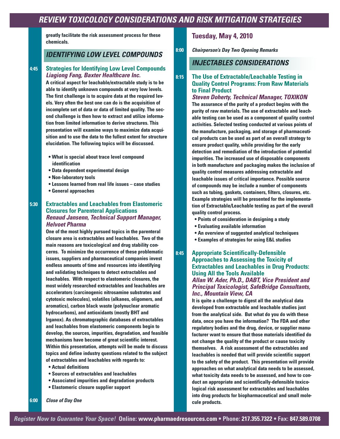**greatly facilitate the risk assessment process for these chemicals.**

## *IDENTIFYING LOW LEVEL COMPOUNDS*

### **4:45 Strategies for Identifying Low Level Compounds** *Liagiong Fang, Baxter Healthcare Inc.*

**A critical aspect for leachable/extractable study is to be able to identify unknown compounds at very low levels. The first challenge is to acquire data at the required levels. Very often the best one can do is the acquisition of incomplete set of data or data of limited quality. The second challenge is then how to extract and utilize information from limited information to derive structures. This presentation will examine ways to maximize data acquisition and to use the data to the fullest extent for structure elucidation. The following topics will be discussed.**

- **What is special about trace level compound identification**
- **Data dependent experimental design**
- **Non-laboratory tools**
- **Lessons learned from real life issues case studies**
- **General approaches**

## **5:30 Extractables and Leachables from Elastomeric Closures for Parenteral Applications** *Renaud Jansenn, Technical Support Manager, Helvoet Pharma*

**One of the most highly pursued topics in the parenteral closure area is extractables and leachables. Two of the main reasons are toxicological and drug stability concerns. To minimize the occurrence of these problematic issues, suppliers and pharmaceutical companies invest endless amounts of time and resources into identifying and validating techniques to detect extractables and leachables. With respect to elastomeric closures, the most widely researched extractables and leachables are accelerators (carcinogenic nitrosamine substrates and cytotoxic molecules), volatiles (alkanes, oligomers, and aromatics), carbon black waste (polynuclear aromatic hydrocarbons), and antioxidants (mostly BHT and Irganox). As chromatographic databases of extractables and leachables from elastomeric components begin to develop, the sources, impurities, degradation, and feasible mechanisms have become of great scientific interest. Within this presentation, attempts will be made to discuss topics and define industry questions related to the subject of extractables and leachables with regards to:** 

- **Actual definitions**
- **Sources of extractables and leachables**
- **Associated impurities and degradation products**
- **Elastomeric closure supplier support**

## **Tuesday, May 4, 2010**

**8:00** *Chairperson's Day Two Opening Remarks*

## *INJECTABLES CONSIDERATIONS*

## **8:15 The Use of Extractable/Leachable Testing in Quality Control Programs: From Raw Materials to Final Product**

*Steven Doherty, Technical Manager, TOXIKON* **The assurance of the purity of a product begins with the purity of raw materials. The use of extractable and leachable testing can be used as a component of quality control activities. Selected testing conducted at various points of the manufacture, packaging, and storage of pharmaceutical products can be used as part of an overall strategy to ensure product quality, while providing for the early detection and remediation of the introduction of potential impurities. The increased use of disposable components in both manufacture and packaging makes the inclusion of quality control measures addressing extractable and leachable issues of critical importance. Possible source of compounds may be include a number of components such as tubing, gaskets, containers, filters, closures, etc. Example strategies will be presented for the implementation of Extractable/Leachable testing as part of the overall quality control process.**

- **Points of consideration in designing a study**
- **Evaluating available information**
- **An overview of suggested analytical techniques**
- **Examples of strategies for using E&L studies**

### **8:45 Appropriate Scientifically-Defensible Approaches to Assessing the Toxicity of Extractables and Leachables in Drug Products: Using All the Tools Available**  *Allan W. Ader, Ph.D., DABT, Vice President and Principal Toxicologist, SafeBridge Consultants, Inc., Mountain View, CA*

**It is quite a challenge to digest all the analytical data developed from extractable and leachable studies just from the analytical side. But what do you do with these data, once you have the information? The FDA and other regulatory bodies and the drug, device, or supplier manufacturer want to ensure that those materials identified do not change the quality of the product or cause toxicity themselves. A risk assessment of the extractables and leachables is needed that will provide scientific support to the safety of the product. This presentation will provide approaches on what analytical data needs to be assessed, what toxicity data needs to be assessed, and how to conduct an appropriate and scientifically-defensible toxicological risk assessment for extractables and leachables into drug products for biopharmaceutical and small molecule products.**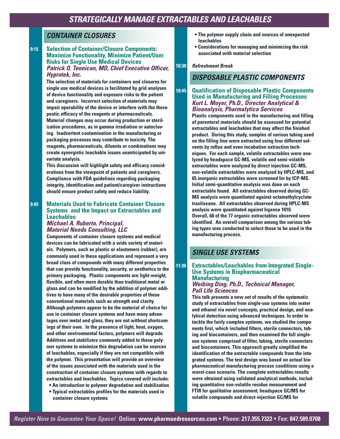## *CONTAINER CLOSURES*

#### **9:15 Selection of Container/Closure Components: Maximize Functionality, Minimize Patient/User Risks for Single Use Medical Devices**  *Patrick O. Tennican, MD, Chief Executive Officer, Hyprotek, Inc.*

**The selection of materials for containers and closures for single use medical devices is facilitated by grid analyses of device functionality and exposure risks to the patient and caregivers. Incorrect selection of materials may impair operability of the device or interfere with the therapeutic efficacy of the reagents or pharmaceuticals. Material changes may occur during production or sterilization procedures, as in gamma irradiation or autoclaving. Inadvertent contamination in the manufacturing or packaging processes may contribute to toxicity. The reagents, pharmaceuticals, diluents or combinations may create synergistic leachable issues unanticipated by univariate analysis.** 

**This discussion will highlight safety and efficacy considerations from the viewpoint of patients and caregivers. Compliance with FDA guidelines regarding packaging integrity, identification and patient/caregiver instructions should ensure product safety and reduce liability.**

## **9:45 Materials Used to Fabricate Container Closure Systems and the Impact on Extractables and Leachables**

#### *Michael A. Ruberto, Principal, Material Needs Consulting, LLC*

**Components of container closure systems and medical devices can be fabricated with a wide variety of materials. Polymers, such as plastic or elastomers (rubber), are commonly used in these applications and represent a very broad class of compounds with many different properties that can provide functionality, security, or aesthetics to the primary packaging. Plastic components are light-weight, flexible, and often more durable than traditional metal or glass and can be modified by the addition of polymer additives to have many of the desirable properties of these conventional materials such as strength and clarity. Although polymers appear to be the material of choice for use in container closure systems and have many advantages over metal and glass, they are not without shortcomings of their own. In the presence of light, heat, oxygen, and other environmental factors, polymers will degrade. Additives and stabilizers commonly added to these polymer systems to minimize this degradation can be sources of leachables, especially if they are not compatible with the polymer. This presentation will provide an overview of the issues associated with the materials used in the construction of container closure systems with regards to extractables and leachables. Topics covered will include: • An introduction to polymer degradation and stabilization**

**• Typical extractables profiles for the materials used in container closure systems** 

- **The polymer supply chain and sources of unexpected leachables**
- **Considerations for managing and minimizing the risk associated with material selection**

#### **10:30** *Refreshment Break*

## *DISPOSABLE PLASTIC COMPONENTS*

#### **10:45 Qualification of Disposable Plastic Components Used in Manufacturing and Filling Processes** *Kurt L. Moyer, Ph.D., Director Analytical & Bioanalysis, Pharmalytica Services*

**Plastic components used in the manufacturing and filling of parenteral materials should be assessed for potential extractables and leachables that may affect the finished product. During this study, samples of various tubing used on the filling line were extracted using four different solvents by reflux and oven incubation extraction techniques. For each sample, volatile extractables were analyzed by headspace GC-MS, volatile and semi-volatile extractables were analyzed by direct injection GC-MS, non-volatile extractables were analyzed by HPLC-MS, and 65 inorganic extractables were screened for by ICP-MS. Initial semi-quantitative analysis was done on each extractable found. All extractables observed during GC-MS analysis were quantitated against octamethylcyclotetrasiloxane. All extractables observed during HPLC-MS analysis were quantitated against Irganox 1010. Overall, 68 of the 77 organic extractables observed were identified. An overall comparison among the various tubing types was conducted to select those to be used in the manufacturing process.**

## *SINGLE USE SYSTEMS*

#### **11:30 Extractables/Leachables from Integrated Single-Use Systems in Biopharmaceutical Manufacturing**

### *Weibing Ding, Ph.D., Technical Manager, Pall Life Sciences*

**This talk presents a new set of results of the systematic study of extractables from single-use systems into water and ethanol via novel concepts, practical design, and analytical detection using advanced techniques. In order to tackle the fairly complex systems, we studied the components first, which included filters, sterile connectors, tubing and biocontainers, and then examined the full singleuse systems comprised of filter, tubing, sterile connectors and biocontainers. This approach greatly simplified the identification of the extractable compounds from the integrated systems. The test design was based on actual biopharmaceutical manufacturing process conditions using a worst-case scenario. The complete extractables results were obtained using validated analytical methods, including quantitative non-volatile residue measurement and FTIR for qualitative assessment, headspace GC/MS for volatile compounds and direct-injection GC/MS for**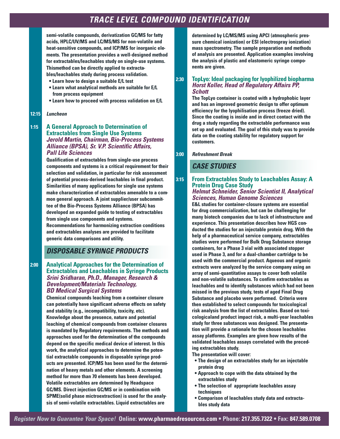# *TRACE LEVEL COMPOUND IDENTIFICATION*

**semi-volatile compounds, derivatization GC/MS for fatty acids, HPLC/UV/MS and LC/MS/MS for non-volatile and heat-sensitive compounds, and ICP/MS for inorganic elements. The presentation provides a well-designed method for extractables/leachables study on single-use systems. Thismethod can be directly applied to extractables/leachables study during process validation.** 

- **Learn how to design a suitable E/L test**
- **Learn what analytical methods are suitable for E/L from process equipment**
- **Learn how to proceed with process validation on E/L**

#### **12:15** *Luncheon*

### **1:15 A General Approach to Determination of Extractables from Single Use Systems** *Jerold Martin, Chairman, Bio-Process Systems Alliance (BPSA), Sr. V.P. Scientific Affairs, Pall Life Sciences*

**Qualification of extractables from single-use process components and systems is a critical requirement for their selection and validation, in particular for risk assessment of potential process-derived leachables in final product. Similarities of many applications for single use systems make characterization of extractables amenable to a common general approach. A joint supplier/user subcommittee of the Bio-Process Systems Alliance (BPSA) has developed an expanded guide to testing of extractables from single use components and systems. Recommendations for harmonizing extraction conditions and extractables analyses are provided to facilitate generic data comparisons and utility.** 

## *DISPOSABLE SYRINGE PRODUCTS*

#### **2:00 Analytical Approaches for the Determination of Extractables and Leachables in Syringe Products** *Srini Sridharan, Ph.D., Manager, Research & Development/Materials Technology, BD Medical Surgical Systems*

**Chemical compounds leaching from a container closure can potentially have significant adverse effects on safety and stability (e.g., incompatibility, toxicity, etc). Knowledge about the presence, nature and potential leaching of chemical compounds from container closures is mandated by Regulatory requirements. The methods and approaches used for the determination of the compounds depend on the specific medical device of interest. In this work, the analytical approaches to determine the potential extractable compounds in disposable syringe products are presented. ICP/MS has been used for the determination of heavy metals and other elements. A screening method for more than 70 elements has been developed. Volatile extractables are determined by Headspace GC/MS. Direct injection GC/MS or in combination with SPME(solid phase mictroextraction) is used for the analysis of semi-volatile extractables. Liquid extractables are** 

**determined by LC/MS/MS using APCI (atmospheric pressure chemical ionization) or ESI (electrospray ionization) mass spectrometry. The sample preparation and methods of analysis are presented. Application examples involving the analysis of plastic and elastomeric syringe components are given.**

#### **2:30 TopLyo: Ideal packaging for lyophilized biopharma** *Horst Koller, Head of Regulatory Affairs PP, Schott*

**The TopLyo container is coated with a hydrophobic layer and has an improved geometric design to offer optimum efficiency for the lyophilisation process (freeze dried). Since the coating is inside and in direct contact with the drug a study regarding the extractable performance was set up and evaluated. The goal of this study was to provide data on the coating stability for regulatory support for customers.** 

**3:00** *Refreshment Break*

## *CASE STUDIES*

#### **3:15 From Extractables Study to Leachables Assay: A Protein Drug Case Study** *Helmut Schneider, Senior Scientist II, Analytical Sciences, Human Genome Sciences*

**E&L studies for container-closure systems are essential for drug commercialization, but can be challenging for many biotech companies due to lack of infrastructure and experience. This presentation describes how HGS conducted the studies for an injectable protein drug. With the help of a pharmaceutical service company, extractables studies were performed for Bulk Drug Substance storage containers, for a Phase 3 vial with associated stopper used in Phase 3, and for a dual-chamber cartridge to be used with the commercial product. Aqueous and organic extracts were analyzed by the service company using an array of semi-quantitative assays to cover both volatile and non-volatile substances. To confirm extractables as leachables and to identify substances which had not been missed in the previous study, tests of aged Final Drug Substance and placebo were performed. Criteria were then established to select compounds for toxicological risk analysis from the list of extractables. Based on toxicologicaland product impact risk, a multi-year leachables study for three substances was designed. The presentation will provide a rationale for the chosen leachables assay platforms. Examples are given how results of the validated leachables assays correlated with the preceding extractables study.** 

**The presentation will cover:**

- **The design of an extractables study for an injectable protein drug**
- **Approach to cope with the data obtained by the extractables study**
- **The selection of appropriate leachables assay techniques**
- **Comparison of leachables study data and extractables study data**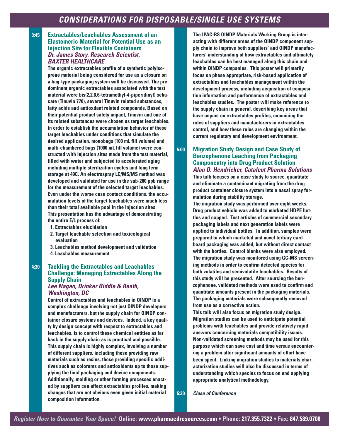#### **3:45 Extractables/Leachables Assessment of an Elastomeric Material for Potential Use as an Injection Site for Flexible Containers** *Dr. James Story, Research Scientist, BAXTER HEALTHCARE*

**The organic extractables profile of a synthetic polyisoprene material being considered for use as a closure on a bag-type packaging system will be discussed. The predominant organic extractables associated with the test material were bis(2,2,6,6-tetramethyl-4-piperidinyl) sebacate (Tinuvin 770), several Tinuvin related substances, fatty acids and antioxdant related compounds. Based on their potential product safety impact, Tinuvin and one of its related substances were chosen as target leachables. In order to establish the accumulation behavior of these target leachables under conditions that simulate the desired application, monobags (100 mL fill volume) and multi-chambered bags (1000 mL fill volume) were constructed with injection sites made from the test material, filled with water and subjected to accelerated aging including multiple sterilization cycles and long term storage at 40C. An electrospray LC/MS/MS method was developed and validated for use in the sub-200 ppb range for the measurement of the selected target leachables. Even under the worse case contact conditions, the accumulation levels of the target leachables were much less than their total available pool in the injection sites. This presentation has the advantage of demonstrating the entire E/L process of:**

- **1. Extractables elucidation**
- **2. Target leachable selection and toxicological evaluation**
- **3. Leachables method development and validation**
- **4. Leachables measurement**

## **4:30 Tackling the Extractables and Leachables Challenge: Managing Extractables Along the Supply Chain**

#### *Lee Nagao, Drinker Biddle & Reath, Washington, DC*

**Control of extractables and leachables in OINDP is a complex challenge involving not just OINDP developers and manufacturers, but the supply chain for OINDP container closure systems and devices. Indeed, a key quality by design concept with respect to extractables and leachables, is to control these chemical entities as far back in the supply chain as is practical and possible. This supply chain is highly complex, involving a number of different suppliers, including those providing raw materials such as resins, those providing specific additives such as colorants and antioxidants up to those supplying the final packaging and device components. Additionally, molding or other forming processes enacted by suppliers can affect extractables profiles, making changes that are not obvious even given initial material**

**The IPAC-RS OINDP Materials Working Group is interacting with different areas of the OINDP component supply chain to improve both suppliers' and OINDP manufacturers' understanding of how extractables and ultimately leachables can be best managed along this chain and within OINDP companies. This poster will primarily focus on phase appropriate, risk-based application of extractables and leachables management within the development process, including acquisition of composition information and performance of extractables and leachables studies. The poster will make reference to the supply chain in general, describing key areas that have impact on extractables profiles, examining the roles of suppliers and manufacturers in extractables control, and how these roles are changing within the current regulatory and development environment.** 

## **5:00 Migration Study Design and Case Study of Benzophenone Leaching from Packaging Componentry into Drug Product Solution** *Alan D. Hendricker, Catalent Pharma Solutions*

**This talk focuses on a case study to source, quantitate and eliminate a contaminant migrating from the drug product container closure system into a nasal spray formulation during stability storage.** 

**The migration study was performed over eight weeks. Drug product vehicle was added to marketed HDPE bottles and capped. Test articles of commercial secondary packaging labels and next generation labels were applied to individual bottles. In addition, samples were prepared to which marketed and novel tertiary cardboard packaging was added, but without direct contact with the bottles. Control blanks were also employed. The migration study was monitored using GC-MS screening methods in order to confirm detected species for both volatiles and semivolatile leachables. Results of this study will be presented. After sourcing the benzophenone, validated methods were used to confirm and quantitate amounts present in the packaging materials. The packaging materials were subsequently removed from use as a corrective action.** 

**This talk will also focus on migration study design. Migration studies can be used to anticipate potential problems with leachables and provide relatively rapid answers concerning materials compatibility issues. Non-validated screening methods may be used for this purpose which can save cost and time versus encountering a problem after significant amounts of effort have been spent. Linking migration studies to materials characterization studies will also be discussed in terms of understanding which species to focus on and applying appropriate analytical methodology.**

**5:30** *Close of Conference*

# **composition information.**